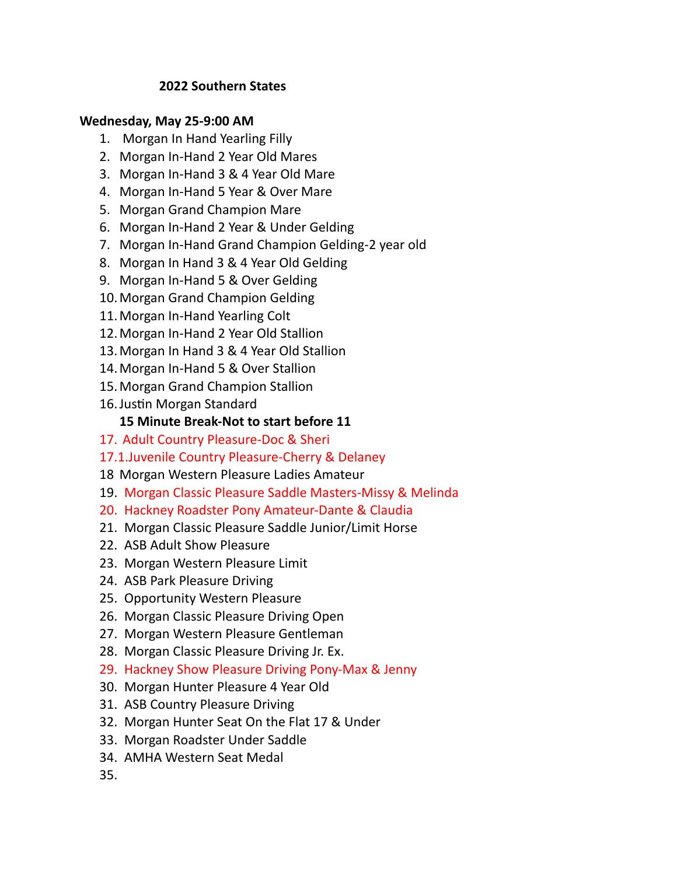### **2022 Southern States**

### **Wednesday, May 25-9:00 AM**

- 1. Morgan In Hand Yearling Filly
- 2. Morgan In-Hand 2 Year Old Mares
- 3. Morgan In-Hand 3 & 4 Year Old Mare
- 4. Morgan In-Hand 5 Year & Over Mare
- 5. Morgan Grand Champion Mare
- 6. Morgan In-Hand 2 Year & Under Gelding
- 7. Morgan In-Hand Grand Champion Gelding-2 year old
- 8. Morgan In Hand 3 & 4 Year Old Gelding
- 9. Morgan In-Hand 5 & Over Gelding
- 10.Morgan Grand Champion Gelding
- 11.Morgan In-Hand Yearling Colt
- 12.Morgan In-Hand 2 Year Old Stallion
- 13.Morgan In Hand 3 & 4 Year Old Stallion
- 14.Morgan In-Hand 5 & Over Stallion
- 15.Morgan Grand Champion Stallion
- 16.Justin Morgan Standard

### **15 Minute Break-Not to start before 11**

- 17. Adult Country Pleasure-Doc & Sheri
- 17.1.Juvenile Country Pleasure-Cherry & Delaney
- 18 Morgan Western Pleasure Ladies Amateur
- 19. Morgan Classic Pleasure Saddle Masters-Missy & Melinda
- 20. Hackney Roadster Pony Amateur-Dante & Claudia
- 21. Morgan Classic Pleasure Saddle Junior/Limit Horse
- 22. ASB Adult Show Pleasure
- 23. Morgan Western Pleasure Limit
- 24. ASB Park Pleasure Driving
- 25. Opportunity Western Pleasure
- 26. Morgan Classic Pleasure Driving Open
- 27. Morgan Western Pleasure Gentleman
- 28. Morgan Classic Pleasure Driving Jr. Ex.
- 29. Hackney Show Pleasure Driving Pony-Max & Jenny
- 30. Morgan Hunter Pleasure 4 Year Old
- 31. ASB Country Pleasure Driving
- 32. Morgan Hunter Seat On the Flat 17 & Under
- 33. Morgan Roadster Under Saddle
- 34. AMHA Western Seat Medal
- 35.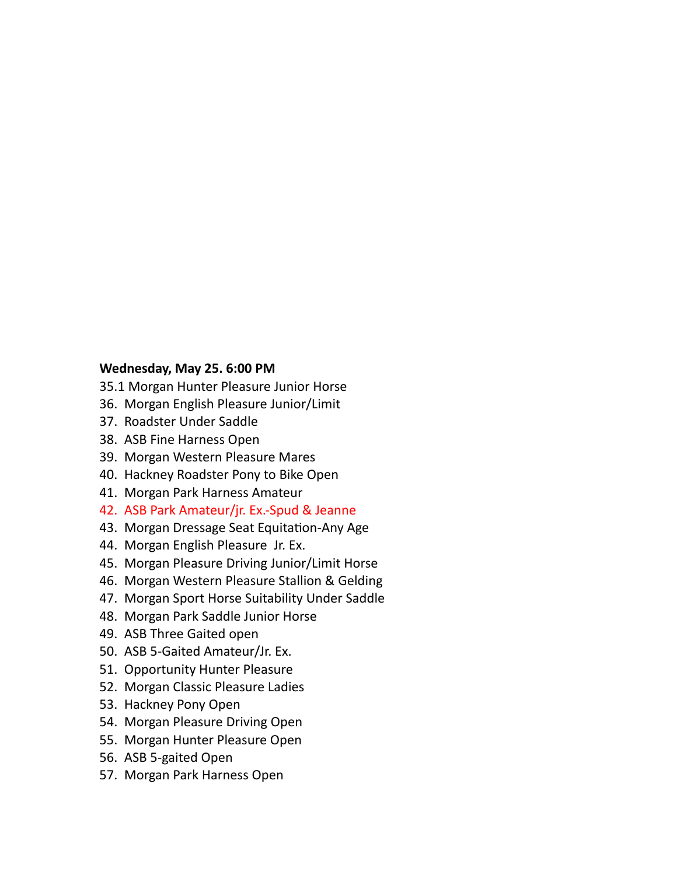#### **Wednesday, May 25. 6:00 PM**

35.1 Morgan Hunter Pleasure Junior Horse

- 36. Morgan English Pleasure Junior/Limit
- 37. Roadster Under Saddle
- 38. ASB Fine Harness Open
- 39. Morgan Western Pleasure Mares
- 40. Hackney Roadster Pony to Bike Open
- 41. Morgan Park Harness Amateur
- 42. ASB Park Amateur/jr. Ex.-Spud & Jeanne
- 43. Morgan Dressage Seat Equitation-Any Age
- 44. Morgan English Pleasure Jr. Ex.
- 45. Morgan Pleasure Driving Junior/Limit Horse
- 46. Morgan Western Pleasure Stallion & Gelding
- 47. Morgan Sport Horse Suitability Under Saddle
- 48. Morgan Park Saddle Junior Horse
- 49. ASB Three Gaited open
- 50. ASB 5-Gaited Amateur/Jr. Ex.
- 51. Opportunity Hunter Pleasure
- 52. Morgan Classic Pleasure Ladies
- 53. Hackney Pony Open
- 54. Morgan Pleasure Driving Open
- 55. Morgan Hunter Pleasure Open
- 56. ASB 5-gaited Open
- 57. Morgan Park Harness Open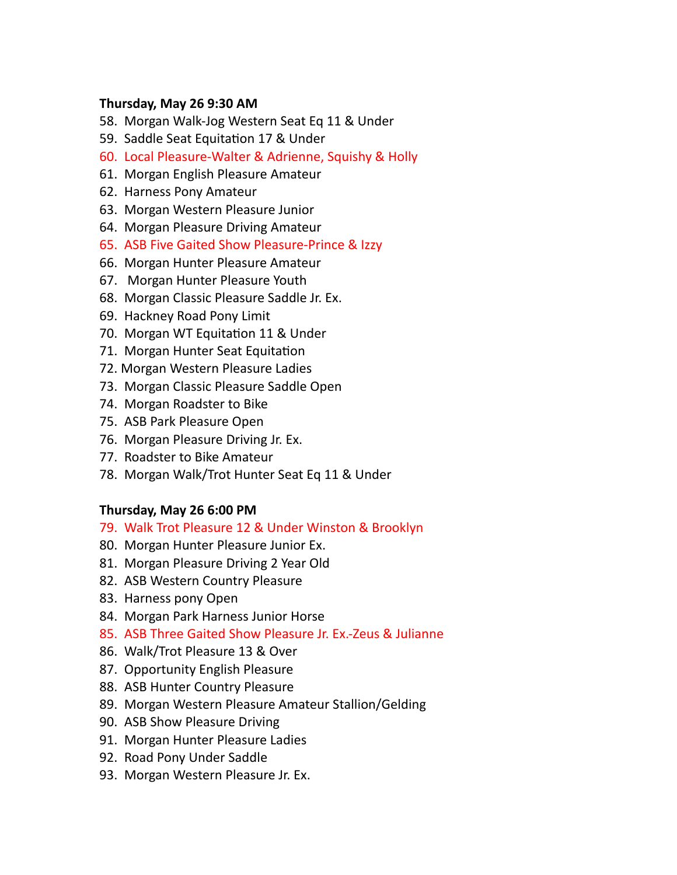### **Thursday, May 26 9:30 AM**

- 58. Morgan Walk-Jog Western Seat Eq 11 & Under
- 59. Saddle Seat Equitation 17 & Under
- 60. Local Pleasure-Walter & Adrienne, Squishy & Holly
- 61. Morgan English Pleasure Amateur
- 62. Harness Pony Amateur
- 63. Morgan Western Pleasure Junior
- 64. Morgan Pleasure Driving Amateur
- 65. ASB Five Gaited Show Pleasure-Prince & Izzy
- 66. Morgan Hunter Pleasure Amateur
- 67. Morgan Hunter Pleasure Youth
- 68. Morgan Classic Pleasure Saddle Jr. Ex.
- 69. Hackney Road Pony Limit
- 70. Morgan WT Equitation 11 & Under
- 71. Morgan Hunter Seat Equitation
- 72. Morgan Western Pleasure Ladies
- 73. Morgan Classic Pleasure Saddle Open
- 74. Morgan Roadster to Bike
- 75. ASB Park Pleasure Open
- 76. Morgan Pleasure Driving Jr. Ex.
- 77. Roadster to Bike Amateur
- 78. Morgan Walk/Trot Hunter Seat Eq 11 & Under

#### **Thursday, May 26 6:00 PM**

#### 79. Walk Trot Pleasure 12 & Under Winston & Brooklyn

- 80. Morgan Hunter Pleasure Junior Ex.
- 81. Morgan Pleasure Driving 2 Year Old
- 82. ASB Western Country Pleasure
- 83. Harness pony Open
- 84. Morgan Park Harness Junior Horse
- 85. ASB Three Gaited Show Pleasure Jr. Ex.-Zeus & Julianne
- 86. Walk/Trot Pleasure 13 & Over
- 87. Opportunity English Pleasure
- 88. ASB Hunter Country Pleasure
- 89. Morgan Western Pleasure Amateur Stallion/Gelding
- 90. ASB Show Pleasure Driving
- 91. Morgan Hunter Pleasure Ladies
- 92. Road Pony Under Saddle
- 93. Morgan Western Pleasure Jr. Ex.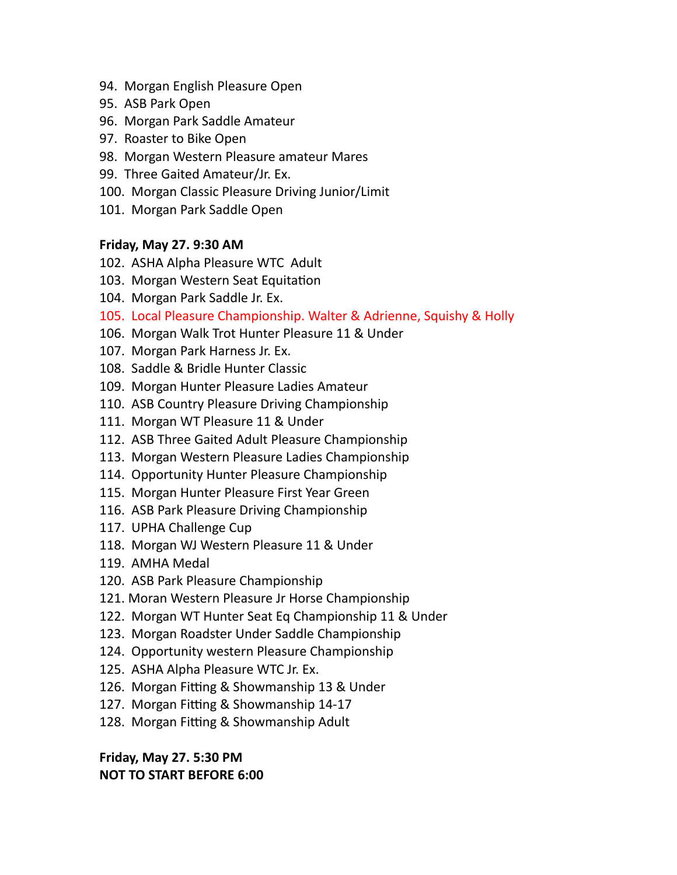- 94. Morgan English Pleasure Open
- 95. ASB Park Open
- 96. Morgan Park Saddle Amateur
- 97. Roaster to Bike Open
- 98. Morgan Western Pleasure amateur Mares
- 99. Three Gaited Amateur/Jr. Ex.
- 100. Morgan Classic Pleasure Driving Junior/Limit
- 101. Morgan Park Saddle Open

# **Friday, May 27. 9:30 AM**

- 102. ASHA Alpha Pleasure WTC Adult
- 103. Morgan Western Seat Equitation
- 104. Morgan Park Saddle Jr. Ex.
- 105. Local Pleasure Championship. Walter & Adrienne, Squishy & Holly
- 106. Morgan Walk Trot Hunter Pleasure 11 & Under
- 107. Morgan Park Harness Jr. Ex.
- 108. Saddle & Bridle Hunter Classic
- 109. Morgan Hunter Pleasure Ladies Amateur
- 110. ASB Country Pleasure Driving Championship
- 111. Morgan WT Pleasure 11 & Under
- 112. ASB Three Gaited Adult Pleasure Championship
- 113. Morgan Western Pleasure Ladies Championship
- 114. Opportunity Hunter Pleasure Championship
- 115. Morgan Hunter Pleasure First Year Green
- 116. ASB Park Pleasure Driving Championship
- 117. UPHA Challenge Cup
- 118. Morgan WJ Western Pleasure 11 & Under
- 119. AMHA Medal
- 120. ASB Park Pleasure Championship
- 121. Moran Western Pleasure Jr Horse Championship
- 122. Morgan WT Hunter Seat Eq Championship 11 & Under
- 123. Morgan Roadster Under Saddle Championship
- 124. Opportunity western Pleasure Championship
- 125. ASHA Alpha Pleasure WTC Jr. Ex.
- 126. Morgan Fitting & Showmanship 13 & Under
- 127. Morgan Fitting & Showmanship 14-17
- 128. Morgan Fitting & Showmanship Adult

**Friday, May 27. 5:30 PM NOT TO START BEFORE 6:00**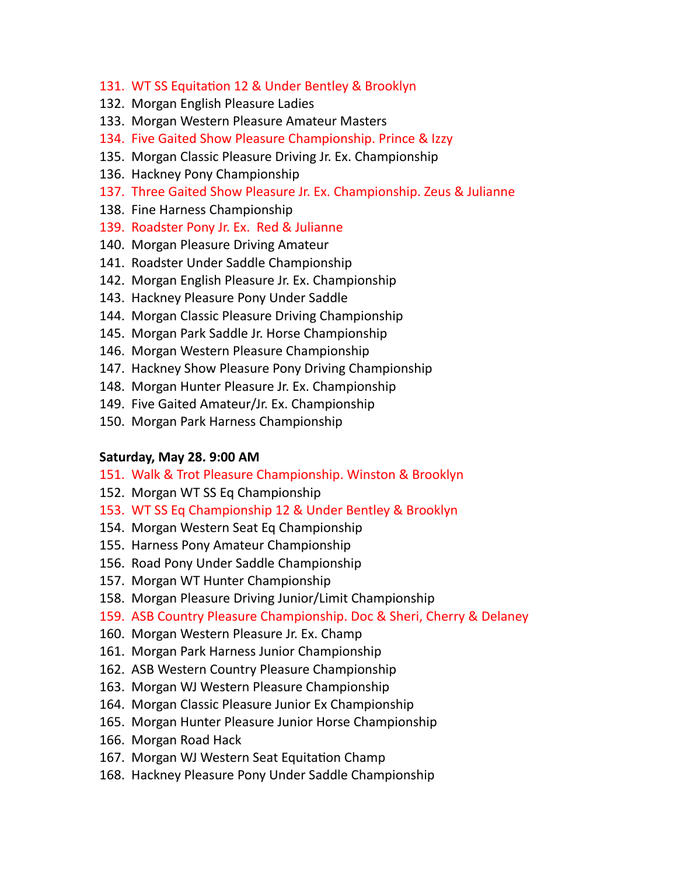- 131. WT SS Equitation 12 & Under Bentley & Brooklyn
- 132. Morgan English Pleasure Ladies
- 133. Morgan Western Pleasure Amateur Masters
- 134. Five Gaited Show Pleasure Championship. Prince & Izzy
- 135. Morgan Classic Pleasure Driving Jr. Ex. Championship
- 136. Hackney Pony Championship
- 137. Three Gaited Show Pleasure Jr. Ex. Championship. Zeus & Julianne
- 138. Fine Harness Championship
- 139. Roadster Pony Jr. Ex. Red & Julianne
- 140. Morgan Pleasure Driving Amateur
- 141. Roadster Under Saddle Championship
- 142. Morgan English Pleasure Jr. Ex. Championship
- 143. Hackney Pleasure Pony Under Saddle
- 144. Morgan Classic Pleasure Driving Championship
- 145. Morgan Park Saddle Jr. Horse Championship
- 146. Morgan Western Pleasure Championship
- 147. Hackney Show Pleasure Pony Driving Championship
- 148. Morgan Hunter Pleasure Jr. Ex. Championship
- 149. Five Gaited Amateur/Jr. Ex. Championship
- 150. Morgan Park Harness Championship

#### **Saturday, May 28. 9:00 AM**

- 151. Walk & Trot Pleasure Championship. Winston & Brooklyn
- 152. Morgan WT SS Eq Championship
- 153. WT SS Eq Championship 12 & Under Bentley & Brooklyn
- 154. Morgan Western Seat Eq Championship
- 155. Harness Pony Amateur Championship
- 156. Road Pony Under Saddle Championship
- 157. Morgan WT Hunter Championship
- 158. Morgan Pleasure Driving Junior/Limit Championship
- 159. ASB Country Pleasure Championship. Doc & Sheri, Cherry & Delaney
- 160. Morgan Western Pleasure Jr. Ex. Champ
- 161. Morgan Park Harness Junior Championship
- 162. ASB Western Country Pleasure Championship
- 163. Morgan WJ Western Pleasure Championship
- 164. Morgan Classic Pleasure Junior Ex Championship
- 165. Morgan Hunter Pleasure Junior Horse Championship
- 166. Morgan Road Hack
- 167. Morgan WJ Western Seat Equitation Champ
- 168. Hackney Pleasure Pony Under Saddle Championship